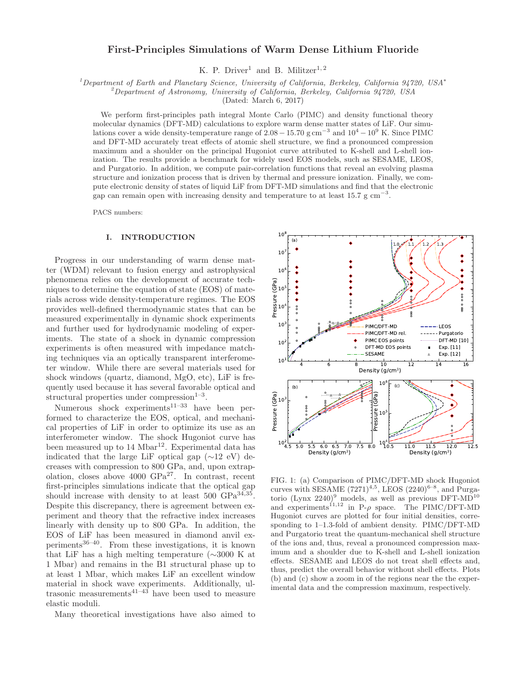# First-Principles Simulations of Warm Dense Lithium Fluoride

K. P. Driver<sup>1</sup> and B. Militzer<sup>1, 2</sup>

 $1$ Department of Earth and Planetary Science, University of California, Berkeley, California 94720, USA<sup>\*</sup>

 $^{2}$ Department of Astronomy, University of California, Berkeley, California 94720, USA

(Dated: March 6, 2017)

We perform first-principles path integral Monte Carlo (PIMC) and density functional theory molecular dynamics (DFT-MD) calculations to explore warm dense matter states of LiF. Our simulations cover a wide density-temperature range of  $2.08 - 15.70$  g cm<sup>-3</sup> and  $10^4 - 10^9$  K. Since PIMC and DFT-MD accurately treat effects of atomic shell structure, we find a pronounced compression maximum and a shoulder on the principal Hugoniot curve attributed to K-shell and L-shell ionization. The results provide a benchmark for widely used EOS models, such as SESAME, LEOS, and Purgatorio. In addition, we compute pair-correlation functions that reveal an evolving plasma structure and ionization process that is driven by thermal and pressure ionization. Finally, we compute electronic density of states of liquid LiF from DFT-MD simulations and find that the electronic gap can remain open with increasing density and temperature to at least 15.7 g  $\text{cm}^{-3}$ .

PACS numbers:

### I. INTRODUCTION

Progress in our understanding of warm dense matter (WDM) relevant to fusion energy and astrophysical phenomena relies on the development of accurate techniques to determine the equation of state (EOS) of materials across wide density-temperature regimes. The EOS provides well-defined thermodynamic states that can be measured experimentally in dynamic shock experiments and further used for hydrodynamic modeling of experiments. The state of a shock in dynamic compression experiments is often measured with impedance matching techniques via an optically transparent interferometer window. While there are several materials used for shock windows (quartz, diamond, MgO, etc), LiF is frequently used because it has several favorable optical and structural properties under compression $1-3$ .

Numerous shock experiments<sup>11–33</sup> have been performed to characterize the EOS, optical, and mechanical properties of LiF in order to optimize its use as an interferometer window. The shock Hugoniot curve has been measured up to  $14 \text{ Mbar}^{12}$ . Experimental data has indicated that the large LiF optical gap  $(\sim 12 \text{ eV})$  decreases with compression to 800 GPa, and, upon extrapolation, closes above  $4000 \text{ GPa}^{27}$ . In contrast, recent first-principles simulations indicate that the optical gap should increase with density to at least 500 GPa<sup>34,35</sup>. Despite this discrepancy, there is agreement between experiment and theory that the refractive index increases linearly with density up to 800 GPa. In addition, the EOS of LiF has been measured in diamond anvil experiments $36-40$ . From these investigations, it is known that LiF has a high melting temperature (∼3000 K at 1 Mbar) and remains in the B1 structural phase up to at least 1 Mbar, which makes LiF an excellent window material in shock wave experiments. Additionally, ultrasonic measurements<sup>41–43</sup> have been used to measure elastic moduli.

Many theoretical investigations have also aimed to



FIG. 1: (a) Comparison of PIMC/DFT-MD shock Hugoniot curves with SESAME  $(7271)^{4,5}$ , LEOS  $(2240)^{6-8}$ , and Purgatorio (Lynx  $2240)^9$  models, as well as previous DFT-MD<sup>10</sup> and experiments<sup>11,12</sup> in P- $\rho$  space. The PIMC/DFT-MD Hugoniot curves are plotted for four initial densities, corresponding to 1–1.3-fold of ambient density. PIMC/DFT-MD and Purgatorio treat the quantum-mechanical shell structure of the ions and, thus, reveal a pronounced compression maximum and a shoulder due to K-shell and L-shell ionization effects. SESAME and LEOS do not treat shell effects and, thus, predict the overall behavior without shell effects. Plots (b) and (c) show a zoom in of the regions near the the experimental data and the compression maximum, respectively.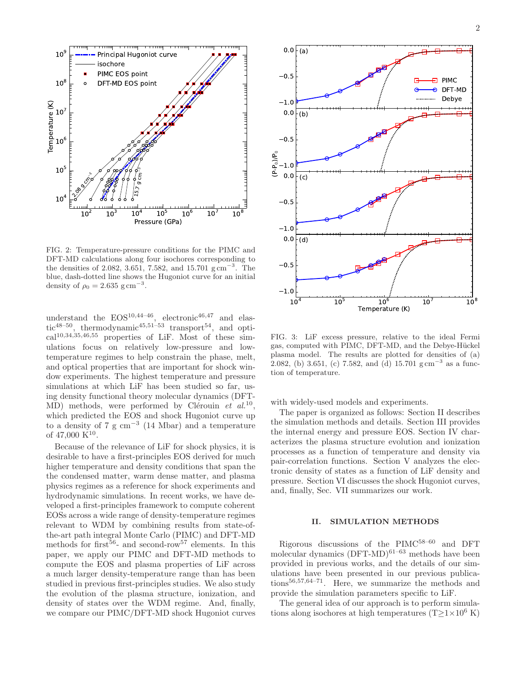

FIG. 2: Temperature-pressure conditions for the PIMC and DFT-MD calculations along four isochores corresponding to the densities of 2.082, 3.651, 7.582, and 15.701  $g \text{ cm}^{-3}$ . The blue, dash-dotted line shows the Hugoniot curve for an initial density of  $\rho_0 = 2.635 \text{ g cm}^{-3}$ .

understand the  $EOS^{10,44-46}$ , electronic<sup>46,47</sup> and elastic<sup>48–50</sup>, thermodynamic<sup>45,51–53</sup> transport<sup>54</sup>, and optical10,34,35,46,55 properties of LiF. Most of these simulations focus on relatively low-pressure and lowtemperature regimes to help constrain the phase, melt, and optical properties that are important for shock window experiments. The highest temperature and pressure simulations at which LiF has been studied so far, using density functional theory molecular dynamics (DFT- $MD)$  methods, were performed by Clérouin et al.<sup>10</sup>, which predicted the EOS and shock Hugoniot curve up to a density of 7  $\rm g \ cm^{-3}$  (14 Mbar) and a temperature of  $47,000 \text{ K}^{10}$ .

Because of the relevance of LiF for shock physics, it is desirable to have a first-principles EOS derived for much higher temperature and density conditions that span the the condensed matter, warm dense matter, and plasma physics regimes as a reference for shock experiments and hydrodynamic simulations. In recent works, we have developed a first-principles framework to compute coherent EOSs across a wide range of density-temperature regimes relevant to WDM by combining results from state-ofthe-art path integral Monte Carlo (PIMC) and DFT-MD methods for first<sup>56</sup>- and second-row<sup>57</sup> elements. In this paper, we apply our PIMC and DFT-MD methods to compute the EOS and plasma properties of LiF across a much larger density-temperature range than has been studied in previous first-principles studies. We also study the evolution of the plasma structure, ionization, and density of states over the WDM regime. And, finally, we compare our PIMC/DFT-MD shock Hugoniot curves



FIG. 3: LiF excess pressure, relative to the ideal Fermi gas, computed with PIMC, DFT-MD, and the Debye-Hückel plasma model. The results are plotted for densities of (a) 2.082, (b) 3.651, (c) 7.582, and (d) 15.701  $\text{g cm}^{-3}$  as a function of temperature.

with widely-used models and experiments.

The paper is organized as follows: Section II describes the simulation methods and details. Section III provides the internal energy and pressure EOS. Section IV characterizes the plasma structure evolution and ionization processes as a function of temperature and density via pair-correlation functions. Section V analyzes the electronic density of states as a function of LiF density and pressure. Section VI discusses the shock Hugoniot curves, and, finally, Sec. VII summarizes our work.

### II. SIMULATION METHODS

Rigorous discussions of the PIMC58–60 and DFT molecular dynamics  $(DFT-MD)^{61-63}$  methods have been provided in previous works, and the details of our simulations have been presented in our previous publications56,57,64–71. Here, we summarize the methods and provide the simulation parameters specific to LiF.

The general idea of our approach is to perform simulations along isochores at high temperatures  $(T>1\times10^6$  K)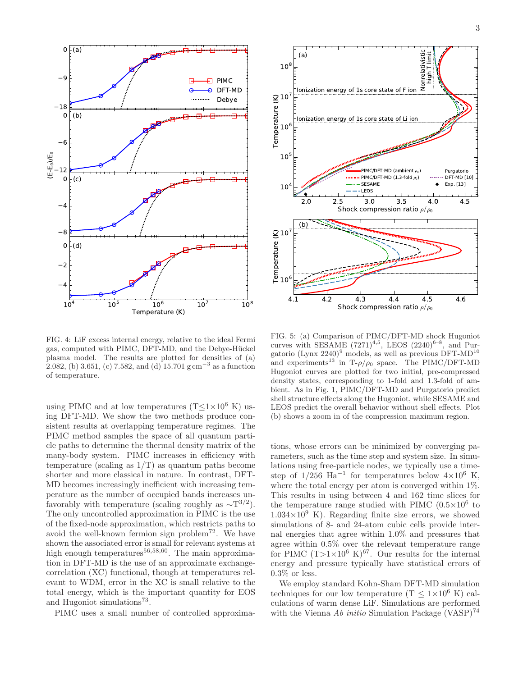

FIG. 4: LiF excess internal energy, relative to the ideal Fermi gas, computed with PIMC, DFT-MD, and the Debye-Hückel plasma model. The results are plotted for densities of (a) 2.082, (b) 3.651, (c) 7.582, and (d) 15.701 g cm<sup>-3</sup> as a function of temperature.

using PIMC and at low temperatures (T $\leq$ 1×10<sup>6</sup> K) using DFT-MD. We show the two methods produce consistent results at overlapping temperature regimes. The PIMC method samples the space of all quantum particle paths to determine the thermal density matrix of the many-body system. PIMC increases in efficiency with temperature (scaling as  $1/T$ ) as quantum paths become shorter and more classical in nature. In contrast, DFT-MD becomes increasingly inefficient with increasing temperature as the number of occupied bands increases unfavorably with temperature (scaling roughly as  $\sim$ T<sup>3/2</sup>). The only uncontrolled approximation in PIMC is the use of the fixed-node approximation, which restricts paths to avoid the well-known fermion sign problem<sup>72</sup>. We have shown the associated error is small for relevant systems at high enough temperatures<sup>56,58,60</sup>. The main approximation in DFT-MD is the use of an approximate exchangecorrelation (XC) functional, though at temperatures relevant to WDM, error in the XC is small relative to the total energy, which is the important quantity for EOS and Hugoniot simulations<sup>73</sup>.

PIMC uses a small number of controlled approxima-



FIG. 5: (a) Comparison of PIMC/DFT-MD shock Hugoniot curves with SESAME  $(7271)^{4,5}$ , LEOS  $(2240)^{6-8}$ , and Purgatorio (Lynx  $2240)^9$  models, as well as previous DFT-MD<sup>10</sup> and experiments<sup>13</sup> in T- $\rho/\rho_0$  space. The PIMC/DFT-MD Hugoniot curves are plotted for two initial, pre-compressed density states, corresponding to 1-fold and 1.3-fold of ambient. As in Fig. 1, PIMC/DFT-MD and Purgatorio predict shell structure effects along the Hugoniot, while SESAME and LEOS predict the overall behavior without shell effects. Plot (b) shows a zoom in of the compression maximum region.

tions, whose errors can be minimized by converging parameters, such as the time step and system size. In simulations using free-particle nodes, we typically use a timestep of  $1/256$  Ha<sup>-1</sup> for temperatures below  $4\times10^6$  K, where the total energy per atom is converged within 1%. This results in using between 4 and 162 time slices for the temperature range studied with PIMC  $(0.5\times10^6$  to  $1.034\times10^{9}$  K). Regarding finite size errors, we showed simulations of 8- and 24-atom cubic cells provide internal energies that agree within 1.0% and pressures that agree within 0.5% over the relevant temperature range for PIMC  $(T>1\times10^6 \text{ K})^{67}$ . Our results for the internal energy and pressure typically have statistical errors of  $0.3\%$  or less.

We employ standard Kohn-Sham DFT-MD simulation techniques for our low temperature  $(T \leq 1 \times 10^6 \text{ K})$  calculations of warm dense LiF. Simulations are performed with the Vienna Ab initio Simulation Package  $(VASP)^{74}$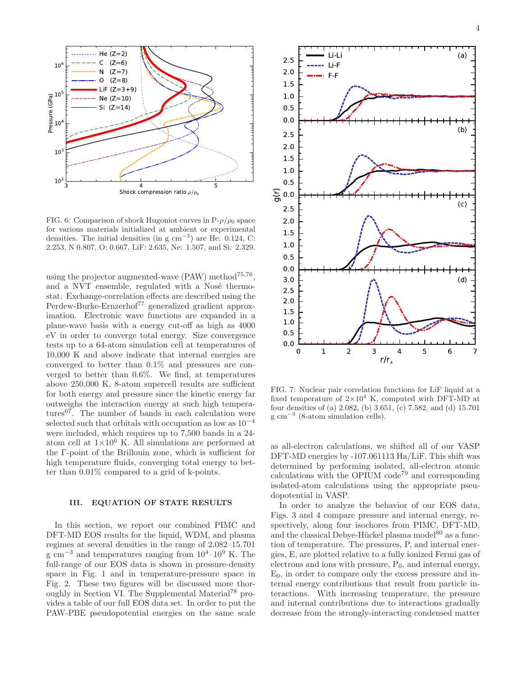

FIG. 6: Comparison of shock Hugoniot curves in  $P-\rho/\rho_0$  space for various materials initialized at ambient or experimental densities. The initial densities (in g  $\text{cm}^{-3}$ ) are He: 0.124, C: 2.253, N 0.807, O: 0.667, LiF: 2.635, Ne: 1.507, and Si: 2.329.

using the projector augmented-wave  $(PAW)$  method<sup>75,76</sup>, and a NVT ensemble, regulated with a Nosé thermostat. Exchange-correlation effects are described using the Perdew-Burke-Ernzerhof<sup>77</sup> generalized gradient approximation. Electronic wave functions are expanded in a plane-wave basis with a energy cut-off as high as 4000 eV in order to converge total energy. Size convergence tests up to a 64-atom simulation cell at temperatures of 10,000 K and above indicate that internal energies are converged to better than 0.1% and pressures are converged to better than 0.6%. We find, at temperatures above 250,000 K, 8-atom supercell results are sufficient for both energy and pressure since the kinetic energy far outweighs the interaction energy at such high temperatures<sup>67</sup>. The number of bands in each calculation were selected such that orbitals with occupation as low as 10<sup>−</sup><sup>4</sup> were included, which requires up to 7,500 bands in a 24 atom cell at  $1\times10^6$  K. All simulations are performed at the Γ-point of the Brillouin zone, which is sufficient for high temperature fluids, converging total energy to better than 0.01% compared to a grid of k-points.

## III. EQUATION OF STATE RESULTS

In this section, we report our combined PIMC and DFT-MD EOS results for the liquid, WDM, and plasma regimes at several densities in the range of 2.082–15.701  $g \text{ cm}^{-3}$  and temperatures ranging from  $10^4$ – $10^9$  K. The full-range of our EOS data is shown in pressure-density space in Fig. 1 and in temperature-pressure space in Fig. 2. These two figures will be discussed more thoroughly in Section VI. The Supplemental Material<sup>78</sup> provides a table of our full EOS data set. In order to put the PAW-PBE pseudopotential energies on the same scale



FIG. 7: Nuclear pair correlation functions for LiF liquid at a fixed temperature of  $2\times10^4$  K, computed with DFT-MD at four densities of (a) 2.082, (b) 3.651, (c) 7.582, and (d) 15.701 g cm<sup>-3</sup> (8-atom simulation cells).

as all-electron calculations, we shifted all of our VASP DFT-MD energies by -107.061113 Ha/LiF. This shift was determined by performing isolated, all-electron atomic calculations with the OPIUM  $\text{code}^{79}$  and corresponding isolated-atom calculations using the appropriate pseudopotential in VASP.

In order to analyze the behavior of our EOS data, Figs. 3 and 4 compare pressure and internal energy, respectively, along four isochores from PIMC, DFT-MD, and the classical Debye-Hückel plasma model<sup>80</sup> as a function of temperature. The pressures, P, and internal energies, E, are plotted relative to a fully ionized Fermi gas of electrons and ions with pressure,  $P_0$ , and internal energy,  $E_0$ , in order to compare only the excess pressure and internal energy contributions that result from particle interactions. With increasing temperature, the pressure and internal contributions due to interactions gradually decrease from the strongly-interacting condensed matter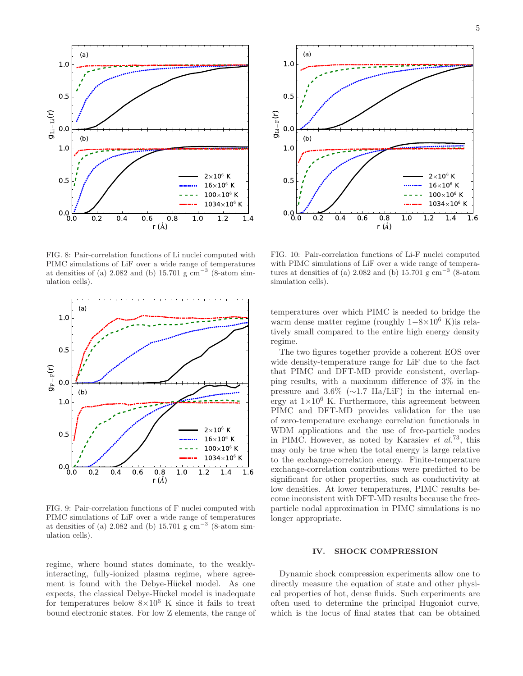

FIG. 8: Pair-correlation functions of Li nuclei computed with PIMC simulations of LiF over a wide range of temperatures at densities of (a) 2.082 and (b) 15.701 g  $cm^{-3}$  (8-atom simulation cells).



FIG. 9: Pair-correlation functions of F nuclei computed with PIMC simulations of LiF over a wide range of temperatures at densities of (a) 2.082 and (b) 15.701 g  $cm^{-3}$  (8-atom simulation cells).



FIG. 10: Pair-correlation functions of Li-F nuclei computed with PIMC simulations of LiF over a wide range of temperatures at densities of (a) 2.082 and (b) 15.701  $\mathrm{g\ cm}^{-3}$  (8-atom simulation cells).

temperatures over which PIMC is needed to bridge the warm dense matter regime (roughly 1−8×10<sup>6</sup> K)is relatively small compared to the entire high energy density regime.

The two figures together provide a coherent EOS over wide density-temperature range for LiF due to the fact that PIMC and DFT-MD provide consistent, overlapping results, with a maximum difference of 3% in the pressure and 3.6% (∼1.7 Ha/LiF) in the internal energy at  $1\times10^6$  K. Furthermore, this agreement between PIMC and DFT-MD provides validation for the use of zero-temperature exchange correlation functionals in WDM applications and the use of free-particle nodes in PIMC. However, as noted by Karasiev *et al.*<sup>73</sup>, this may only be true when the total energy is large relative to the exchange-correlation energy. Finite-temperature exchange-correlation contributions were predicted to be significant for other properties, such as conductivity at low densities. At lower temperatures, PIMC results become inconsistent with DFT-MD results because the freeparticle nodal approximation in PIMC simulations is no longer appropriate.

### IV. SHOCK COMPRESSION

regime, where bound states dominate, to the weaklyinteracting, fully-ionized plasma regime, where agreement is found with the Debye-Hückel model. As one expects, the classical Debye-Hückel model is inadequate for temperatures below  $8\times10^6$  K since it fails to treat bound electronic states. For low Z elements, the range of

Dynamic shock compression experiments allow one to directly measure the equation of state and other physical properties of hot, dense fluids. Such experiments are often used to determine the principal Hugoniot curve, which is the locus of final states that can be obtained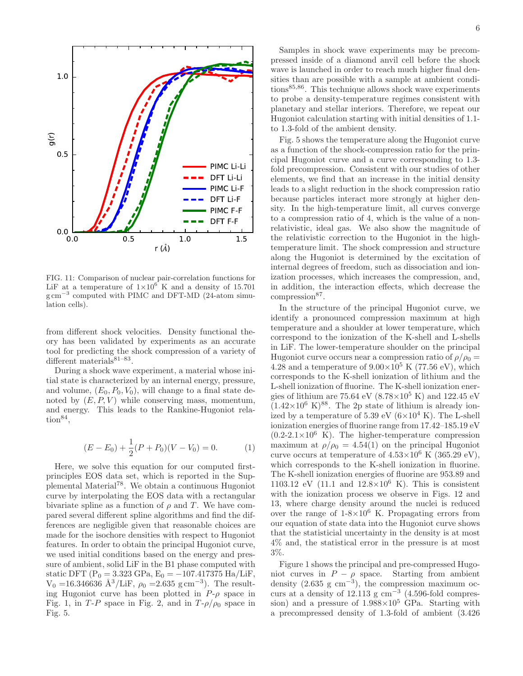

FIG. 11: Comparison of nuclear pair-correlation functions for LiF at a temperature of  $1\times10^6$  K and a density of 15.701 g cm<sup>-3</sup> computed with PIMC and DFT-MD (24-atom simulation cells).

from different shock velocities. Density functional theory has been validated by experiments as an accurate tool for predicting the shock compression of a variety of different materials $81-83$ .

During a shock wave experiment, a material whose initial state is characterized by an internal energy, pressure, and volume,  $(E_0, P_0, V_0)$ , will change to a final state denoted by  $(E, P, V)$  while conserving mass, momentum, and energy. This leads to the Rankine-Hugoniot rela- $\text{tion}^{\text{84}},$ 

$$
(E - E_0) + \frac{1}{2}(P + P_0)(V - V_0) = 0.
$$
 (1)

Here, we solve this equation for our computed firstprinciples EOS data set, which is reported in the Supplemental Material<sup>78</sup>. We obtain a continuous Hugoniot curve by interpolating the EOS data with a rectangular bivariate spline as a function of  $\rho$  and T. We have compared several different spline algorithms and find the differences are negligible given that reasonable choices are made for the isochore densities with respect to Hugoniot features. In order to obtain the principal Hugoniot curve, we used initial conditions based on the energy and pressure of ambient, solid LiF in the B1 phase computed with static DFT (P<sub>0</sub> = 3.323 GPa, E<sub>0</sub> =  $-107.417375$  Ha/LiF,  $V_0 = 16.346636$  Å<sup>3</sup>/LiF,  $\rho_0 = 2.635$  g cm<sup>-3</sup>). The resulting Hugoniot curve has been plotted in  $P-\rho$  space in Fig. 1, in T-P space in Fig. 2, and in  $T-\rho/\rho_0$  space in Fig. 5.

Samples in shock wave experiments may be precompressed inside of a diamond anvil cell before the shock wave is launched in order to reach much higher final densities than are possible with a sample at ambient conditions85,86. This technique allows shock wave experiments to probe a density-temperature regimes consistent with planetary and stellar interiors. Therefore, we repeat our Hugoniot calculation starting with initial densities of 1.1 to 1.3-fold of the ambient density.

Fig. 5 shows the temperature along the Hugoniot curve as a function of the shock-compression ratio for the principal Hugoniot curve and a curve corresponding to 1.3 fold precompression. Consistent with our studies of other elements, we find that an increase in the initial density leads to a slight reduction in the shock compression ratio because particles interact more strongly at higher density. In the high-temperature limit, all curves converge to a compression ratio of 4, which is the value of a nonrelativistic, ideal gas. We also show the magnitude of the relativistic correction to the Hugoniot in the hightemperature limit. The shock compression and structure along the Hugoniot is determined by the excitation of internal degrees of freedom, such as dissociation and ionization processes, which increases the compression, and, in addition, the interaction effects, which decrease the compression<sup>87</sup>.

In the structure of the principal Hugoniot curve, we identify a pronounced compression maximum at high temperature and a shoulder at lower temperature, which correspond to the ionization of the K-shell and L-shells in LiF. The lower-temperature shoulder on the principal Hugoniot curve occurs near a compression ratio of  $\rho/\rho_0 =$ 4.28 and a temperature of  $9.00\times10^5$  K (77.56 eV), which corresponds to the K-shell ionization of lithium and the L-shell ionization of fluorine. The K-shell ionization energies of lithium are 75.64 eV  $(8.78\times10^5 \text{ K})$  and 122.45 eV  $(1.42\times10^6 \text{ K})^{88}$ . The 2p state of lithium is already ionized by a temperature of 5.39 eV  $(6\times10^4 \text{ K})$ . The L-shell ionization energies of fluorine range from 17.42–185.19 eV  $(0.2-2.1\times10^6)$  K). The higher-temperature compression maximum at  $\rho/\rho_0 = 4.54(1)$  on the principal Hugoniot curve occurs at temperature of  $4.53\times10^6$  K (365.29 eV), which corresponds to the K-shell ionization in fluorine. The K-shell ionization energies of fluorine are 953.89 and 1103.12 eV (11.1 and  $12.8 \times 10^6$  K). This is consistent with the ionization process we observe in Figs. 12 and 13, where charge density around the nuclei is reduced over the range of  $1-8\times10^6$  K. Propagating errors from our equation of state data into the Hugoniot curve shows that the statisticial uncertainty in the density is at most 4% and, the statistical error in the pressure is at most 3%.

Figure 1 shows the principal and pre-compressed Hugoniot curves in  $P - \rho$  space. Starting from ambient density  $(2.635 \text{ g cm}^{-3})$ , the compression maximum occurs at a density of  $12.113 \text{ g cm}^{-3}$  (4.596-fold compression) and a pressure of  $1.988 \times 10^5$  GPa. Starting with a precompressed density of 1.3-fold of ambient (3.426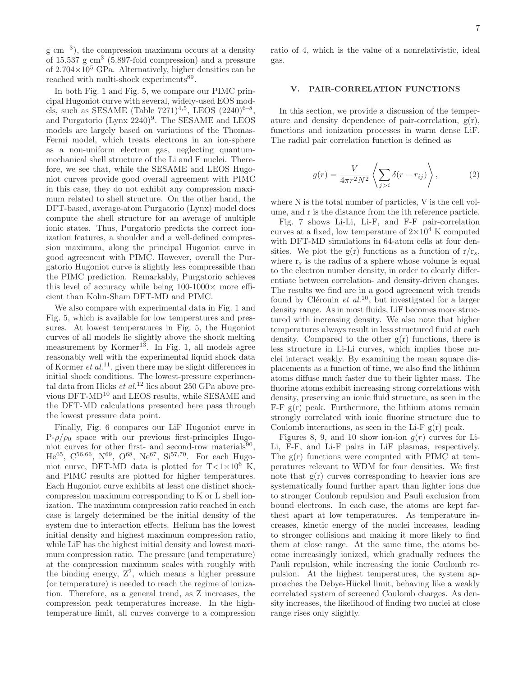g cm−<sup>3</sup> ), the compression maximum occurs at a density of  $15.537$  g  $\text{cm}^3$  (5.897-fold compression) and a pressure of  $2.704\times10^5$  GPa. Alternatively, higher densities can be reached with multi-shock experiments<sup>89</sup>.

In both Fig. 1 and Fig. 5, we compare our PIMC principal Hugoniot curve with several, widely-used EOS models, such as SESAME (Table 7271)<sup>4,5</sup>, LEOS  $(2240)^{6-8}$ , and Purgatorio (Lynx 2240)<sup>9</sup>. The SESAME and LEOS models are largely based on variations of the Thomas-Fermi model, which treats electrons in an ion-sphere as a non-uniform electron gas, neglecting quantummechanical shell structure of the Li and F nuclei. Therefore, we see that, while the SESAME and LEOS Hugoniot curves provide good overall agreement with PIMC in this case, they do not exhibit any compression maximum related to shell structure. On the other hand, the DFT-based, average-atom Purgatorio (Lynx) model does compute the shell structure for an average of multiple ionic states. Thus, Purgatorio predicts the correct ionization features, a shoulder and a well-defined compression maximum, along the principal Hugoniot curve in good agreement with PIMC. However, overall the Purgatorio Hugoniot curve is slightly less compressible than the PIMC prediction. Remarkably, Purgatorio achieves this level of accuracy while being  $100-1000\times$  more efficient than Kohn-Sham DFT-MD and PIMC.

We also compare with experimental data in Fig. 1 and Fig. 5, which is available for low temperatures and pressures. At lowest temperatures in Fig. 5, the Hugoniot curves of all models lie slightly above the shock melting measurement by Kormer<sup>13</sup>. In Fig. 1, all models agree reasonably well with the experimental liquid shock data of Kormer *et al.*<sup>11</sup>, given there may be slight differences in initial shock conditions. The lowest-pressure experimental data from Hicks et  $al$ .<sup>12</sup> lies about 250 GPa above previous DFT-MD<sup>10</sup> and LEOS results, while SESAME and the DFT-MD calculations presented here pass through the lowest pressure data point.

Finally, Fig. 6 compares our LiF Hugoniot curve in  $P-\rho/\rho_0$  space with our previous first-principles Hugoniot curves for other first- and second-row materials<sup>90</sup>,  $He^{65}$ ,  $C^{56,66}$ ,  $N^{69}$ ,  $O^{68}$ ,  $Ne^{67}$ ,  $Si^{57,70}$ . For each Hugoniot curve, DFT-MD data is plotted for  $T<1\times10^6$  K, and PIMC results are plotted for higher temperatures. Each Hugoniot curve exhibits at least one distinct shockcompression maximum corresponding to K or L shell ionization. The maximum compression ratio reached in each case is largely determined be the initial density of the system due to interaction effects. Helium has the lowest initial density and highest maximum compression ratio, while LiF has the highest initial density and lowest maximum compression ratio. The pressure (and temperature) at the compression maximum scales with roughly with the binding energy,  $Z^2$ , which means a higher pressure (or temperature) is needed to reach the regime of ionization. Therefore, as a general trend, as Z increases, the compression peak temperatures increase. In the hightemperature limit, all curves converge to a compression ratio of 4, which is the value of a nonrelativistic, ideal gas.

### V. PAIR-CORRELATION FUNCTIONS

In this section, we provide a discussion of the temperature and density dependence of pair-correlation,  $g(r)$ , functions and ionization processes in warm dense LiF. The radial pair correlation function is defined as

$$
g(r) = \frac{V}{4\pi r^2 N^2} \left\langle \sum_{j>i} \delta(r - r_{ij}) \right\rangle, \tag{2}
$$

where N is the total number of particles, V is the cell volume, and r is the distance from the ith reference particle.

Fig. 7 shows Li-Li, Li-F, and F-F pair-correlation curves at a fixed, low temperature of  $2\times10^4$  K computed with DFT-MD simulations in 64-atom cells at four densities. We plot the  $g(r)$  functions as a function of  $r/r_s$ , where  $r_s$  is the radius of a sphere whose volume is equal to the electron number density, in order to clearly differentiate between correlation- and density-driven changes. The results we find are in a good agreement with trends found by Clérouin et  $al^{10}$ , but investigated for a larger density range. As in most fluids, LiF becomes more structured with increasing density. We also note that higher temperatures always result in less structured fluid at each density. Compared to the other  $g(r)$  functions, there is less structure in Li-Li curves, which implies those nuclei interact weakly. By examining the mean square displacements as a function of time, we also find the lithium atoms diffuse much faster due to their lighter mass. The fluorine atoms exhibit increasing strong correlations with density, preserving an ionic fluid structure, as seen in the  $F-F g(r)$  peak. Furthermore, the lithium atoms remain strongly correlated with ionic fluorine structure due to Coulomb interactions, as seen in the Li-F  $g(r)$  peak.

Figures 8, 9, and 10 show ion-ion  $q(r)$  curves for Li-Li, F-F, and Li-F pairs in LiF plasmas, respectively. The  $g(r)$  functions were computed with PIMC at temperatures relevant to WDM for four densities. We first note that  $g(r)$  curves corresponding to heavier ions are systematically found further apart than lighter ions due to stronger Coulomb repulsion and Pauli exclusion from bound electrons. In each case, the atoms are kept farthest apart at low temperatures. As temperature increases, kinetic energy of the nuclei increases, leading to stronger collisions and making it more likely to find them at close range. At the same time, the atoms become increasingly ionized, which gradually reduces the Pauli repulsion, while increasing the ionic Coulomb repulsion. At the highest temperatures, the system approaches the Debye-H¨uckel limit, behaving like a weakly correlated system of screened Coulomb charges. As density increases, the likelihood of finding two nuclei at close range rises only slightly.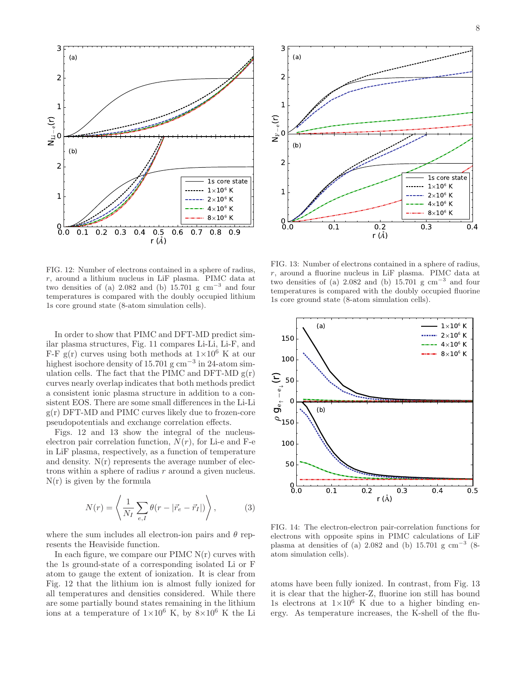

FIG. 12: Number of electrons contained in a sphere of radius, r, around a lithium nucleus in LiF plasma. PIMC data at two densities of (a) 2.082 and (b) 15.701 g cm<sup>-3</sup> and four temperatures is compared with the doubly occupied lithium 1s core ground state (8-atom simulation cells).

In order to show that PIMC and DFT-MD predict similar plasma structures, Fig. 11 compares Li-Li, Li-F, and F-F g(r) curves using both methods at  $1\times10^6$  K at our highest isochore density of 15.701 g cm<sup>−</sup><sup>3</sup> in 24-atom simulation cells. The fact that the PIMC and DFT-MD  $g(r)$ curves nearly overlap indicates that both methods predict a consistent ionic plasma structure in addition to a consistent EOS. There are some small differences in the Li-Li  $g(r)$  DFT-MD and PIMC curves likely due to frozen-core pseudopotentials and exchange correlation effects.

Figs. 12 and 13 show the integral of the nucleuselectron pair correlation function,  $N(r)$ , for Li-e and F-e in LiF plasma, respectively, as a function of temperature and density.  $N(r)$  represents the average number of electrons within a sphere of radius r around a given nucleus.  $N(r)$  is given by the formula

$$
N(r) = \left\langle \frac{1}{N_I} \sum_{e,I} \theta(r - |\vec{r}_e - \vec{r}_I|) \right\rangle, \tag{3}
$$

where the sum includes all electron-ion pairs and  $\theta$  represents the Heaviside function.

In each figure, we compare our PIMC  $N(r)$  curves with the 1s ground-state of a corresponding isolated Li or F atom to gauge the extent of ionization. It is clear from Fig. 12 that the lithium ion is almost fully ionized for all temperatures and densities considered. While there are some partially bound states remaining in the lithium ions at a temperature of  $1\times10^6$  K, by  $8\times10^6$  K the Li



FIG. 13: Number of electrons contained in a sphere of radius, r, around a fluorine nucleus in LiF plasma. PIMC data at two densities of (a) 2.082 and (b) 15.701 g cm<sup>-3</sup> and four temperatures is compared with the doubly occupied fluorine 1s core ground state (8-atom simulation cells).



FIG. 14: The electron-electron pair-correlation functions for electrons with opposite spins in PIMC calculations of LiF plasma at densities of (a) 2.082 and (b) 15.701 g  $\text{cm}^{-3}$  (8atom simulation cells).

atoms have been fully ionized. In contrast, from Fig. 13 it is clear that the higher-Z, fluorine ion still has bound 1s electrons at  $1\times10^6$  K due to a higher binding energy. As temperature increases, the K-shell of the flu-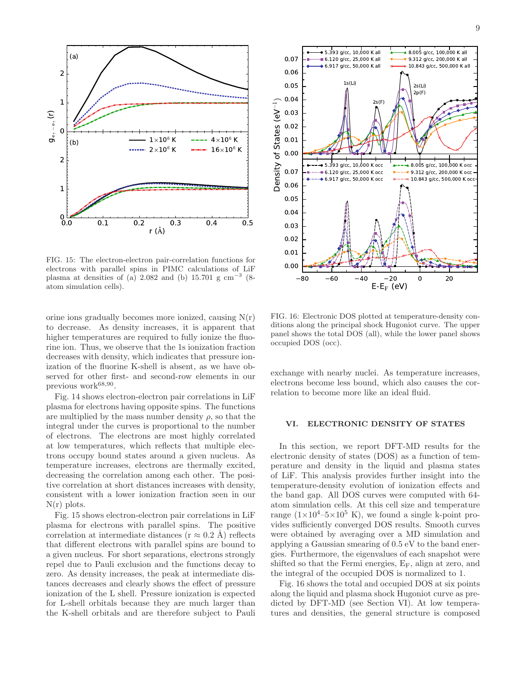

FIG. 15: The electron-electron pair-correlation functions for electrons with parallel spins in PIMC calculations of LiF plasma at densities of (a) 2.082 and (b) 15.701 g  $\text{cm}^{-3}$  (8atom simulation cells).

orine ions gradually becomes more ionized, causing  $N(r)$ to decrease. As density increases, it is apparent that higher temperatures are required to fully ionize the fluorine ion. Thus, we observe that the 1s ionization fraction decreases with density, which indicates that pressure ionization of the fluorine K-shell is absent, as we have observed for other first- and second-row elements in our previous work<sup>68,90</sup>.

Fig. 14 shows electron-electron pair correlations in LiF plasma for electrons having opposite spins. The functions are multiplied by the mass number density  $\rho$ , so that the integral under the curves is proportional to the number of electrons. The electrons are most highly correlated at low temperatures, which reflects that multiple electrons occupy bound states around a given nucleus. As temperature increases, electrons are thermally excited, decreasing the correlation among each other. The positive correlation at short distances increases with density, consistent with a lower ionization fraction seen in our  $N(r)$  plots.

Fig. 15 shows electron-electron pair correlations in LiF plasma for electrons with parallel spins. The positive correlation at intermediate distances ( $r \approx 0.2$  Å) reflects that different electrons with parallel spins are bound to a given nucleus. For short separations, electrons strongly repel due to Pauli exclusion and the functions decay to zero. As density increases, the peak at intermediate distances decreases and clearly shows the effect of pressure ionization of the L shell. Pressure ionization is expected for L-shell orbitals because they are much larger than the K-shell orbitals and are therefore subject to Pauli



FIG. 16: Electronic DOS plotted at temperature-density conditions along the principal shock Hugoniot curve. The upper panel shows the total DOS (all), while the lower panel shows occupied DOS (occ).

exchange with nearby nuclei. As temperature increases, electrons become less bound, which also causes the correlation to become more like an ideal fluid.

### VI. ELECTRONIC DENSITY OF STATES

In this section, we report DFT-MD results for the electronic density of states (DOS) as a function of temperature and density in the liquid and plasma states of LiF. This analysis provides further insight into the temperature-density evolution of ionization effects and the band gap. All DOS curves were computed with 64 atom simulation cells. At this cell size and temperature range  $(1\times10^4 - 5\times10^5)$  K), we found a single k-point provides sufficiently converged DOS results. Smooth curves were obtained by averaging over a MD simulation and applying a Gaussian smearing of 0.5 eV to the band energies. Furthermore, the eigenvalues of each snapshot were shifted so that the Fermi energies,  $E_F$ , align at zero, and the integral of the occupied DOS is normalized to 1.

Fig. 16 shows the total and occupied DOS at six points along the liquid and plasma shock Hugoniot curve as predicted by DFT-MD (see Section VI). At low temperatures and densities, the general structure is composed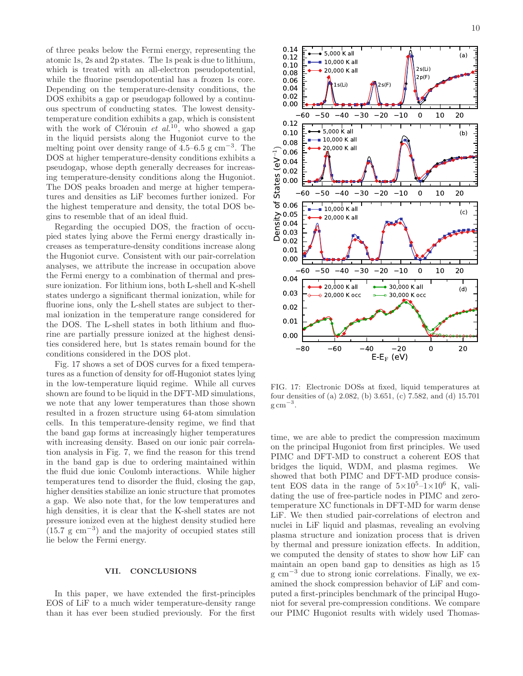of three peaks below the Fermi energy, representing the atomic 1s, 2s and 2p states. The 1s peak is due to lithium, which is treated with an all-electron pseudopotential, while the fluorine pseudopotential has a frozen 1s core. Depending on the temperature-density conditions, the DOS exhibits a gap or pseudogap followed by a continuous spectrum of conducting states. The lowest densitytemperature condition exhibits a gap, which is consistent with the work of Clérouin et  $al^{10}$ , who showed a gap in the liquid persists along the Hugoniot curve to the melting point over density range of  $4.5-6.5$  g cm<sup>-3</sup>. The DOS at higher temperature-density conditions exhibits a pseudogap, whose depth generally decreases for increasing temperature-density conditions along the Hugoniot. The DOS peaks broaden and merge at higher temperatures and densities as LiF becomes further ionized. For the highest temperature and density, the total DOS begins to resemble that of an ideal fluid.

Regarding the occupied DOS, the fraction of occupied states lying above the Fermi energy drastically increases as temperature-density conditions increase along the Hugoniot curve. Consistent with our pair-correlation analyses, we attribute the increase in occupation above the Fermi energy to a combination of thermal and pressure ionization. For lithium ions, both L-shell and K-shell states undergo a significant thermal ionization, while for fluorine ions, only the L-shell states are subject to thermal ionization in the temperature range considered for the DOS. The L-shell states in both lithium and fluorine are partially pressure ionized at the highest densities considered here, but 1s states remain bound for the conditions considered in the DOS plot.

Fig. 17 shows a set of DOS curves for a fixed temperatures as a function of density for off-Hugoniot states lying in the low-temperature liquid regime. While all curves shown are found to be liquid in the DFT-MD simulations, we note that any lower temperatures than those shown resulted in a frozen structure using 64-atom simulation cells. In this temperature-density regime, we find that the band gap forms at increasingly higher temperatures with increasing density. Based on our ionic pair correlation analysis in Fig. 7, we find the reason for this trend in the band gap is due to ordering maintained within the fluid due ionic Coulomb interactions. While higher temperatures tend to disorder the fluid, closing the gap, higher densities stabilize an ionic structure that promotes a gap. We also note that, for the low temperatures and high densities, it is clear that the K-shell states are not pressure ionized even at the highest density studied here  $(15.7 \text{ g cm}^{-3})$  and the majority of occupied states still lie below the Fermi energy.

#### VII. CONCLUSIONS

In this paper, we have extended the first-principles EOS of LiF to a much wider temperature-density range than it has ever been studied previously. For the first



FIG. 17: Electronic DOSs at fixed, liquid temperatures at four densities of (a) 2.082, (b) 3.651, (c) 7.582, and (d) 15.701  $\mathrm{g\,cm}^{-3}$ .

time, we are able to predict the compression maximum on the principal Hugoniot from first principles. We used PIMC and DFT-MD to construct a coherent EOS that bridges the liquid, WDM, and plasma regimes. We showed that both PIMC and DFT-MD produce consistent EOS data in the range of  $5\times10^5$ -1 $\times10^6$  K, validating the use of free-particle nodes in PIMC and zerotemperature XC functionals in DFT-MD for warm dense LiF. We then studied pair-correlations of electron and nuclei in LiF liquid and plasmas, revealing an evolving plasma structure and ionization process that is driven by thermal and pressure ionization effects. In addition, we computed the density of states to show how LiF can maintain an open band gap to densities as high as 15 g cm<sup>−</sup><sup>3</sup> due to strong ionic correlations. Finally, we examined the shock compression behavior of LiF and computed a first-principles benchmark of the principal Hugoniot for several pre-compression conditions. We compare our PIMC Hugoniot results with widely used Thomas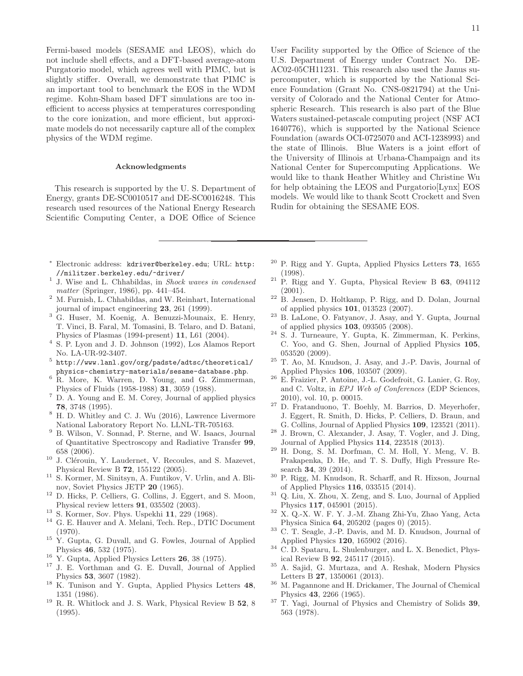Fermi-based models (SESAME and LEOS), which do not include shell effects, and a DFT-based average-atom Purgatorio model, which agrees well with PIMC, but is slightly stiffer. Overall, we demonstrate that PIMC is an important tool to benchmark the EOS in the WDM regime. Kohn-Sham based DFT simulations are too inefficient to access physics at temperatures corresponding to the core ionization, and more efficient, but approximate models do not necessarily capture all of the complex physics of the WDM regime.

#### Acknowledgments

This research is supported by the U. S. Department of Energy, grants DE-SC0010517 and DE-SC0016248. This research used resources of the National Energy Research Scientific Computing Center, a DOE Office of Science

- <sup>∗</sup> Electronic address: kdriver@berkeley.edu; URL: http: //militzer.berkeley.edu/~driver/
- <sup>1</sup> J. Wise and L. Chhabildas, in Shock waves in condensed matter (Springer, 1986), pp. 441–454.
- $^2\,$  M. Furnish, L. Chhabildas, and W. Reinhart, International journal of impact engineering 23, 261 (1999).
- <sup>3</sup> G. Huser, M. Koenig, A. Benuzzi-Mounaix, E. Henry, T. Vinci, B. Faral, M. Tomasini, B. Telaro, and D. Batani, Physics of Plasmas (1994-present) 11, L61 (2004).
- <sup>4</sup> S. P. Lyon and J. D. Johnson (1992), Los Alamos Report No. LA-UR-92-3407.
- $^5$  http://www.lanl.gov/org/padste/adtsc/theoretical/ physics-chemistry-materials/sesame-database.php.
- <sup>6</sup> R. More, K. Warren, D. Young, and G. Zimmerman, Physics of Fluids (1958-1988) 31, 3059 (1988).
- <sup>7</sup> D. A. Young and E. M. Corey, Journal of applied physics 78, 3748 (1995).
- <sup>8</sup> H. D. Whitley and C. J. Wu (2016), Lawrence Livermore National Laboratory Report No. LLNL-TR-705163.
- <sup>9</sup> B. Wilson, V. Sonnad, P. Sterne, and W. Isaacs, Journal of Quantitative Spectroscopy and Radiative Transfer 99, 658 (2006).
- $10$  J. Clérouin, Y. Laudernet, V. Recoules, and S. Mazevet, Physical Review B 72, 155122 (2005).
- <sup>11</sup> S. Kormer, M. Sinitsyn, A. Funtikov, V. Urlin, and A. Blinov, Soviet Physics JETP 20 (1965).
- <sup>12</sup> D. Hicks, P. Celliers, G. Collins, J. Eggert, and S. Moon, Physical review letters 91, 035502 (2003).
- <sup>13</sup> S. Kormer, Sov. Phys. Uspekhi 11, 229 (1968).
- <sup>14</sup> G. E. Hauver and A. Melani, Tech. Rep., DTIC Document (1970).
- $15$  Y. Gupta, G. Duvall, and G. Fowles, Journal of Applied Physics 46, 532 (1975).
- $^{16}$  Y. Gupta, Applied Physics Letters  $26$ , 38 (1975).
- <sup>17</sup> J. E. Vorthman and G. E. Duvall, Journal of Applied Physics 53, 3607 (1982).
- <sup>18</sup> K. Tunison and Y. Gupta, Applied Physics Letters 48, 1351 (1986).
- <sup>19</sup> R. R. Whitlock and J. S. Wark, Physical Review B 52, 8 (1995).

User Facility supported by the Office of Science of the U.S. Department of Energy under Contract No. DE-AC02-05CH11231. This research also used the Janus supercomputer, which is supported by the National Science Foundation (Grant No. CNS-0821794) at the University of Colorado and the National Center for Atmospheric Research. This research is also part of the Blue Waters sustained-petascale computing project (NSF ACI 1640776), which is supported by the National Science Foundation (awards OCI-0725070 and ACI-1238993) and the state of Illinois. Blue Waters is a joint effort of the University of Illinois at Urbana-Champaign and its National Center for Supercomputing Applications. We would like to thank Heather Whitley and Christine Wu for help obtaining the LEOS and Purgatorio[Lynx] EOS models. We would like to thank Scott Crockett and Sven Rudin for obtaining the SESAME EOS.

- $20$  P. Rigg and Y. Gupta, Applied Physics Letters 73, 1655 (1998).
- $21$  P. Rigg and Y. Gupta, Physical Review B 63, 094112 (2001).
- $22$  B. Jensen, D. Holtkamp, P. Rigg, and D. Dolan, Journal of applied physics 101, 013523 (2007).
- <sup>23</sup> B. LaLone, O. Fatyanov, J. Asay, and Y. Gupta, Journal of applied physics 103, 093505 (2008).
- <sup>24</sup> S. J. Turneaure, Y. Gupta, K. Zimmerman, K. Perkins, C. Yoo, and G. Shen, Journal of Applied Physics 105, 053520 (2009).
- <sup>25</sup> T. Ao, M. Knudson, J. Asay, and J.-P. Davis, Journal of Applied Physics 106, 103507 (2009).
- <sup>26</sup> E. Fraizier, P. Antoine, J.-L. Godefroit, G. Lanier, G. Roy, and C. Voltz, in EPJ Web of Conferences (EDP Sciences, 2010), vol. 10, p. 00015.
- <sup>27</sup> D. Fratanduono, T. Boehly, M. Barrios, D. Meyerhofer, J. Eggert, R. Smith, D. Hicks, P. Celliers, D. Braun, and G. Collins, Journal of Applied Physics 109, 123521 (2011).
- <sup>28</sup> J. Brown, C. Alexander, J. Asay, T. Vogler, and J. Ding, Journal of Applied Physics 114, 223518 (2013).
- $^{29}$  H. Dong, S. M. Dorfman, C. M. Holl, Y. Meng, V. B. Prakapenka, D. He, and T. S. Duffy, High Pressure Research 34, 39 (2014).
- <sup>30</sup> P. Rigg, M. Knudson, R. Scharff, and R. Hixson, Journal of Applied Physics 116, 033515 (2014).
- <sup>31</sup> Q. Liu, X. Zhou, X. Zeng, and S. Luo, Journal of Applied Physics 117, 045901 (2015).
- $^{32}$  X. Q.-X. W. F. Y. J.-M. Zhang Zhi-Yu, Zhao Yang, Acta Physica Sinica 64, 205202 (pages 0) (2015).
- <sup>33</sup> C. T. Seagle, J.-P. Davis, and M. D. Knudson, Journal of Applied Physics 120, 165902 (2016).
- <sup>34</sup> C. D. Spataru, L. Shulenburger, and L. X. Benedict, Physical Review B 92, 245117 (2015).
- <sup>35</sup> A. Sajid, G. Murtaza, and A. Reshak, Modern Physics Letters B 27, 1350061 (2013).
- <sup>36</sup> M. Pagannone and H. Drickamer, The Journal of Chemical Physics 43, 2266 (1965).
- <sup>37</sup> T. Yagi, Journal of Physics and Chemistry of Solids 39, 563 (1978).